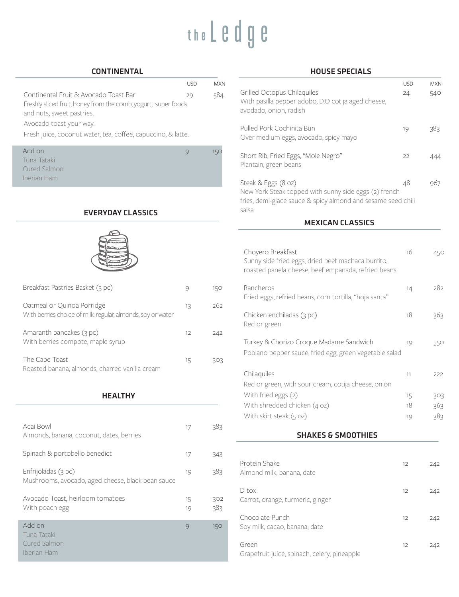# the L e d g e

#### CONTINENTAL

|                                                                | <b>LISD</b> | <b>MXN</b> |
|----------------------------------------------------------------|-------------|------------|
| Continental Fruit & Avocado Toast Bar                          | 29          | 584        |
| Freshly sliced fruit, honey from the comb, yogurt, super foods |             |            |
| and nuts, sweet pastries.                                      |             |            |
| Avocado toast your way.                                        |             |            |

Fresh juice, coconut water, tea, coffee, capuccino, & latte.

| Add on       |  |
|--------------|--|
| Tuna Tataki  |  |
| Cured Salmon |  |
| Iberian Ham  |  |
|              |  |

## EVERYDAY CLASSICS



| Breakfast Pastries Basket (3 pc)                                                          |    | 15O |
|-------------------------------------------------------------------------------------------|----|-----|
| Oatmeal or Quinoa Porridge<br>With berries choice of milk: regular, almonds, soy or water | 13 | 262 |
| Amaranth pancakes (3 pc)<br>With berries compote, maple syrup                             | 12 | 242 |
| The Cape Toast<br>Roasted banana, almonds, charred vanilla cream                          | 15 | २०२ |

### **HEALTHY**

| Acai Bowl<br>Almonds, banana, coconut, dates, berries                    | 17       | 383        |
|--------------------------------------------------------------------------|----------|------------|
| Spinach & portobello benedict                                            | 17       | 343        |
| Enfrijoladas (3 pc)<br>Mushrooms, avocado, aged cheese, black bean sauce | 19       | 383        |
| Avocado Toast, heirloom tomatoes<br>With poach egg                       | 15<br>19 | 302<br>383 |
| Add on<br>Tuna Tataki<br><b>Cured Salmon</b><br>Iberian Ham              | $\circ$  | 150        |

#### HOUSE SPECIALS

| <b>USD</b> | <b>MXN</b> |                                                                                                                                | <b>USD</b> | <b>MXN</b> |
|------------|------------|--------------------------------------------------------------------------------------------------------------------------------|------------|------------|
| 29         | 584        | Grilled Octopus Chilaquiles<br>With pasilla pepper adobo, D.O cotija aged cheese,<br>avodado, onion, radish                    | 24         | 540        |
|            |            | Pulled Pork Cochinita Bun<br>Over medium eggs, avocado, spicy mayo                                                             | 19         | 383        |
| €          | 150        | Short Rib, Fried Eggs, "Mole Negro"<br>Plantain, green beans                                                                   | 22         | 444        |
|            |            | Steak & Eggs (8 oz)                                                                                                            | 48         | 967        |
|            |            | New York Steak topped with sunny side eggs (2) french<br>fries, demi-glace sauce & spicy almond and sesame seed chili<br>salsa |            |            |
|            |            | <b>MEXICAN CLASSICS</b>                                                                                                        |            |            |
|            |            |                                                                                                                                |            |            |
|            |            | Choyero Breakfast<br>Sunny side fried eggs, dried beef machaca burrito,<br>roasted panela cheese, beef empanada, refried beans | 16         | 450        |
|            | 150        | Rancheros<br>Fried eggs, refried beans, corn tortilla, "hoja santa"                                                            | 14         | 282        |
| 13         | 262        |                                                                                                                                |            |            |
|            |            | Chicken enchiladas (3 pc)<br>Red or green                                                                                      | 18         | 363        |
| 12         | 242        | Turkey & Chorizo Croque Madame Sandwich                                                                                        | 19         | 550        |
| 15         | 303        | Poblano pepper sauce, fried egg, green vegetable salad                                                                         |            |            |
|            |            | Chilaquiles<br>Red or green, with sour cream, cotija cheese, onion                                                             | 11         | 222        |
|            |            | With fried eggs (2)                                                                                                            | 15         | 303        |
|            |            | With shredded chicken (4 oz)                                                                                                   | 18         | 363        |
|            |            | With skirt steak (5 oz)                                                                                                        | 19         | 383        |
| 17         | 383        | <b>SHAKES &amp; SMOOTHIES</b>                                                                                                  |            |            |
|            |            |                                                                                                                                |            |            |
| 17         | 343        | Protein Shake                                                                                                                  | 12         | 242        |
| 19         | 383        | Almond milk, banana, date                                                                                                      |            |            |
| 15         | 302        | D-tox<br>Carrot, orange, turmeric, ginger                                                                                      | 12         | 242        |
| 19         | 383        | Chocolate Punch                                                                                                                | 12         | 242        |

Green 242 Grapefruit juice, spinach, celery, pineapple

Soy milk, cacao, banana, date